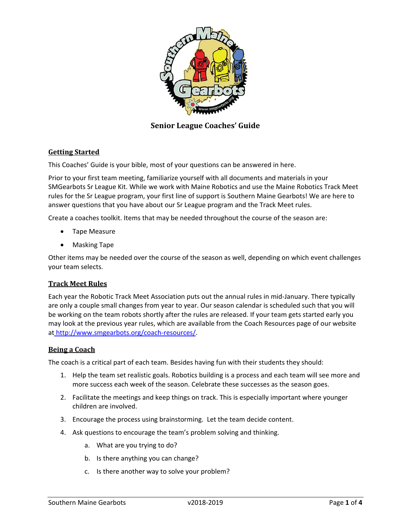

**Senior League Coaches' Guide**

# **Getting Started**

This Coaches' Guide is your bible, most of your questions can be answered in here.

Prior to your first team meeting, familiarize yourself with all documents and materials in your SMGearbots Sr League Kit. While we work with Maine Robotics and use the Maine Robotics Track Meet rules for the Sr League program, your first line of support is Southern Maine Gearbots! We are here to answer questions that you have about our Sr League program and the Track Meet rules.

Create a coaches toolkit. Items that may be needed throughout the course of the season are:

- Tape Measure
- Masking Tape

Other items may be needed over the course of the season as well, depending on which event challenges your team selects.

# **Track Meet Rules**

Each year the Robotic Track Meet Association puts out the annual rules in mid‐January. There typically are only a couple small changes from year to year. Our season calendar is scheduled such that you will be working on the team robots shortly after the rules are released. If your team gets started early you may look at the previous year rules, which are available from the Coach Resources page of our website at http://www.smgearbots.org/coach‐resources/.

### **Being a Coach**

The coach is a critical part of each team. Besides having fun with their students they should:

- 1. Help the team set realistic goals. Robotics building is a process and each team will see more and more success each week of the season. Celebrate these successes as the season goes.
- 2. Facilitate the meetings and keep things on track. This is especially important where younger children are involved.
- 3. Encourage the process using brainstorming. Let the team decide content.
- 4. Ask questions to encourage the team's problem solving and thinking.
	- a. What are you trying to do?
	- b. Is there anything you can change?
	- c. Is there another way to solve your problem?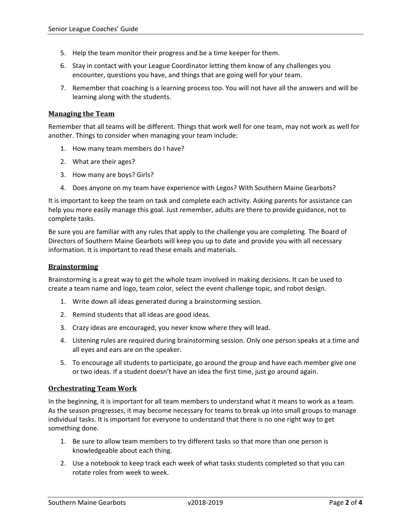- 5. Help the team monitor their progress and be a time keeper for them.
- 6. Stay in contact with your League Coordinator letting them know of any challenges you encounter, questions you have, and things that are going well for your team.
- 7. Remember that coaching is a learning process too. You will not have all the answers and will be learning along with the students.

## **Managing the Team**

Remember that all teams will be different. Things that work well for one team, may not work as well for another. Things to consider when managing your team include:

- 1. How many team members do I have?
- 2. What are their ages?
- 3. How many are boys? Girls?
- 4. Does anyone on my team have experience with Legos? With Southern Maine Gearbots?

It is important to keep the team on task and complete each activity. Asking parents for assistance can help you more easily manage this goal. Just remember, adults are there to provide guidance, not to complete tasks.

Be sure you are familiar with any rules that apply to the challenge you are completing. The Board of Directors of Southern Maine Gearbots will keep you up to date and provide you with all necessary information. It is important to read these emails and materials.

### **Brainstorming**

Brainstorming is a great way to get the whole team involved in making decisions. It can be used to create a team name and logo, team color, select the event challenge topic, and robot design.

- 1. Write down all ideas generated during a brainstorming session.
- 2. Remind students that all ideas are good ideas.
- 3. Crazy ideas are encouraged, you never know where they will lead.
- 4. Listening rules are required during brainstorming session. Only one person speaks at a time and all eyes and ears are on the speaker.
- 5. To encourage all students to participate, go around the group and have each member give one or two ideas. If a student doesn't have an idea the first time, just go around again.

# **Orchestrating Team Work**

In the beginning, it is important for all team members to understand what it means to work as a team. As the season progresses, it may become necessary for teams to break up into small groups to manage individual tasks. It is important for everyone to understand that there is no one right way to get something done.

- 1. Be sure to allow team members to try different tasks so that more than one person is knowledgeable about each thing.
- 2. Use a notebook to keep track each week of what tasks students completed so that you can rotate roles from week to week.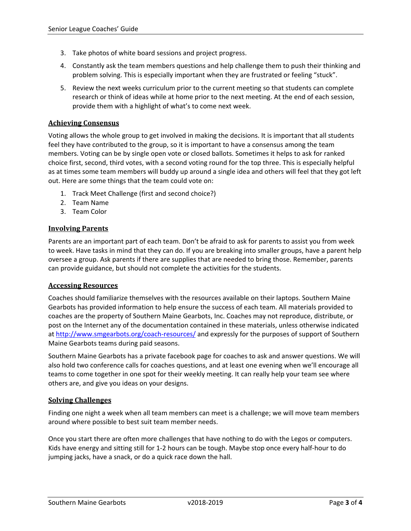- 3. Take photos of white board sessions and project progress.
- 4. Constantly ask the team members questions and help challenge them to push their thinking and problem solving. This is especially important when they are frustrated or feeling "stuck".
- 5. Review the next weeks curriculum prior to the current meeting so that students can complete research or think of ideas while at home prior to the next meeting. At the end of each session, provide them with a highlight of what's to come next week.

## **Achieving Consensus**

Voting allows the whole group to get involved in making the decisions. It is important that all students feel they have contributed to the group, so it is important to have a consensus among the team members. Voting can be by single open vote or closed ballots. Sometimes it helps to ask for ranked choice first, second, third votes, with a second voting round for the top three. This is especially helpful as at times some team members will buddy up around a single idea and others will feel that they got left out. Here are some things that the team could vote on:

- 1. Track Meet Challenge (first and second choice?)
- 2. Team Name
- 3. Team Color

## **Involving Parents**

Parents are an important part of each team. Don't be afraid to ask for parents to assist you from week to week. Have tasks in mind that they can do. If you are breaking into smaller groups, have a parent help oversee a group. Ask parents if there are supplies that are needed to bring those. Remember, parents can provide guidance, but should not complete the activities for the students.

### **Accessing Resources**

Coaches should familiarize themselves with the resources available on their laptops. Southern Maine Gearbots has provided information to help ensure the success of each team. All materials provided to coaches are the property of Southern Maine Gearbots, Inc. Coaches may not reproduce, distribute, or post on the Internet any of the documentation contained in these materials, unless otherwise indicated at http://www.smgearbots.org/coach‐resources/ and expressly for the purposes of support of Southern Maine Gearbots teams during paid seasons.

Southern Maine Gearbots has a private facebook page for coaches to ask and answer questions. We will also hold two conference calls for coaches questions, and at least one evening when we'll encourage all teams to come together in one spot for their weekly meeting. It can really help your team see where others are, and give you ideas on your designs.

### **Solving Challenges**

Finding one night a week when all team members can meet is a challenge; we will move team members around where possible to best suit team member needs.

Once you start there are often more challenges that have nothing to do with the Legos or computers. Kids have energy and sitting still for 1‐2 hours can be tough. Maybe stop once every half‐hour to do jumping jacks, have a snack, or do a quick race down the hall.